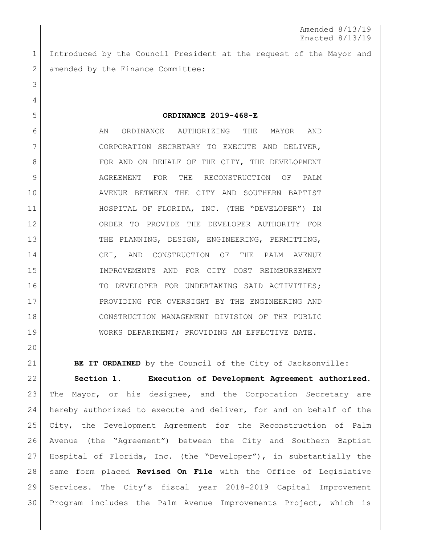Introduced by the Council President at the request of the Mayor and 2 amended by the Finance Committee:

**ORDINANCE 2019-468-E**

6 AN ORDINANCE AUTHORIZING THE MAYOR AND CORPORATION SECRETARY TO EXECUTE AND DELIVER, 8 | FOR AND ON BEHALF OF THE CITY, THE DEVELOPMENT AGREEMENT FOR THE RECONSTRUCTION OF PALM AVENUE BETWEEN THE CITY AND SOUTHERN BAPTIST 11 | HOSPITAL OF FLORIDA, INC. (THE "DEVELOPER") IN ORDER TO PROVIDE THE DEVELOPER AUTHORITY FOR 13 THE PLANNING, DESIGN, ENGINEERING, PERMITTING, 14 CEI, AND CONSTRUCTION OF THE PALM AVENUE IMPROVEMENTS AND FOR CITY COST REIMBURSEMENT 16 TO DEVELOPER FOR UNDERTAKING SAID ACTIVITIES; 17 PROVIDING FOR OVERSIGHT BY THE ENGINEERING AND CONSTRUCTION MANAGEMENT DIVISION OF THE PUBLIC WORKS DEPARTMENT; PROVIDING AN EFFECTIVE DATE.

**BE IT ORDAINED** by the Council of the City of Jacksonville:

 **Section 1. Execution of Development Agreement authorized**. The Mayor, or his designee, and the Corporation Secretary are hereby authorized to execute and deliver, for and on behalf of the City, the Development Agreement for the Reconstruction of Palm Avenue (the "Agreement") between the City and Southern Baptist Hospital of Florida, Inc. (the "Developer"), in substantially the same form placed **Revised On File** with the Office of Legislative Services. The City's fiscal year 2018-2019 Capital Improvement Program includes the Palm Avenue Improvements Project, which is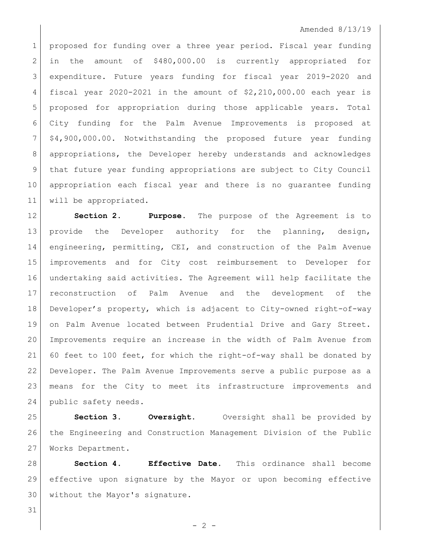## Amended 8/13/19

1 proposed for funding over a three year period. Fiscal year funding 2 in the amount of \$480,000.00 is currently appropriated for expenditure. Future years funding for fiscal year 2019-2020 and 4 fiscal year 2020-2021 in the amount of  $$2,210,000.00$  each year is proposed for appropriation during those applicable years. Total City funding for the Palm Avenue Improvements is proposed at \$4,900,000.00. Notwithstanding the proposed future year funding appropriations, the Developer hereby understands and acknowledges that future year funding appropriations are subject to City Council appropriation each fiscal year and there is no guarantee funding will be appropriated.

 **Section 2. Purpose**. The purpose of the Agreement is to 13 provide the Developer authority for the planning, design, 14 engineering, permitting, CEI, and construction of the Palm Avenue improvements and for City cost reimbursement to Developer for undertaking said activities. The Agreement will help facilitate the reconstruction of Palm Avenue and the development of the Developer's property, which is adjacent to City-owned right-of-way on Palm Avenue located between Prudential Drive and Gary Street. Improvements require an increase in the width of Palm Avenue from 60 feet to 100 feet, for which the right-of-way shall be donated by Developer. The Palm Avenue Improvements serve a public purpose as a means for the City to meet its infrastructure improvements and 24 public safety needs.

 **Section 3. Oversight.** Oversight shall be provided by the Engineering and Construction Management Division of the Public Works Department.

 **Section 4. Effective Date.** This ordinance shall become effective upon signature by the Mayor or upon becoming effective without the Mayor's signature.

 $-2 -$